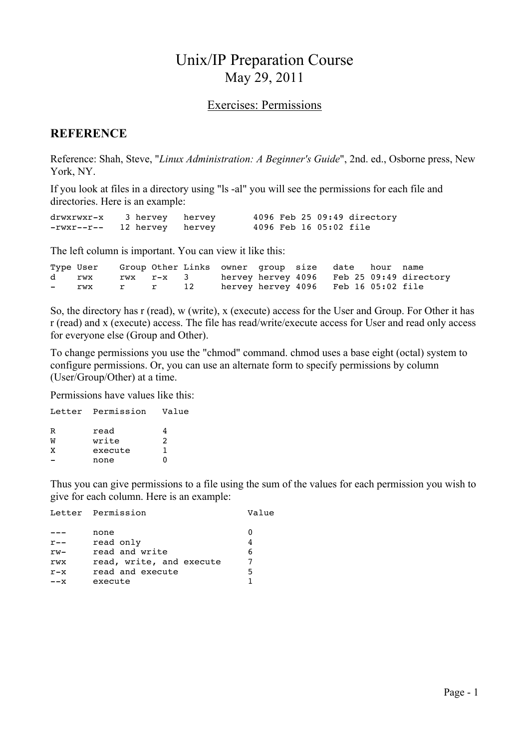# Unix/IP Preparation Course May 29, 2011

#### Exercises: Permissions

#### **REFERENCE**

Reference: Shah, Steve, "*Linux Administration: A Beginner's Guide*", 2nd. ed., Osborne press, New York, NY.

If you look at files in a directory using "ls -al" you will see the permissions for each file and directories. Here is an example:

| drwxrwxr-x 3 hervey hervey  |  |  |                        | 4096 Feb 25 09:49 directory |
|-----------------------------|--|--|------------------------|-----------------------------|
| -rwxr--r-- 12 hervey hervey |  |  | 4096 Feb 16 05:02 file |                             |

The left column is important. You can view it like this:

|               | Type User |           |    | Group Other Links owner group size date hour name |  |  |                                           |
|---------------|-----------|-----------|----|---------------------------------------------------|--|--|-------------------------------------------|
|               | d rwx     | rwx r-x 3 |    |                                                   |  |  | hervey hervey 4096 Feb 25 09:49 directory |
| $\sim$ $\sim$ | rwx       | r r       | 12 | hervey hervey 4096 Feb 16 05:02 file              |  |  |                                           |

So, the directory has r (read), w (write), x (execute) access for the User and Group. For Other it has r (read) and x (execute) access. The file has read/write/execute access for User and read only access for everyone else (Group and Other).

To change permissions you use the "chmod" command. chmod uses a base eight (octal) system to configure permissions. Or, you can use an alternate form to specify permissions by column (User/Group/Other) at a time.

Permissions have values like this:

|   | Letter Permission | Value |
|---|-------------------|-------|
| R | read              |       |
| W | write             | 2     |
| x | execute           |       |
|   | none              | 0     |
|   |                   |       |

Thus you can give permissions to a file using the sum of the values for each permission you wish to give for each column. Here is an example:

Letter Permission **Value** 

|         | none                     |   |
|---------|--------------------------|---|
| $r - -$ | read only                |   |
| rw-     | read and write           |   |
| rwx     | read, write, and execute |   |
| $r - x$ | read and execute         | 5 |
| ––x     | execute                  |   |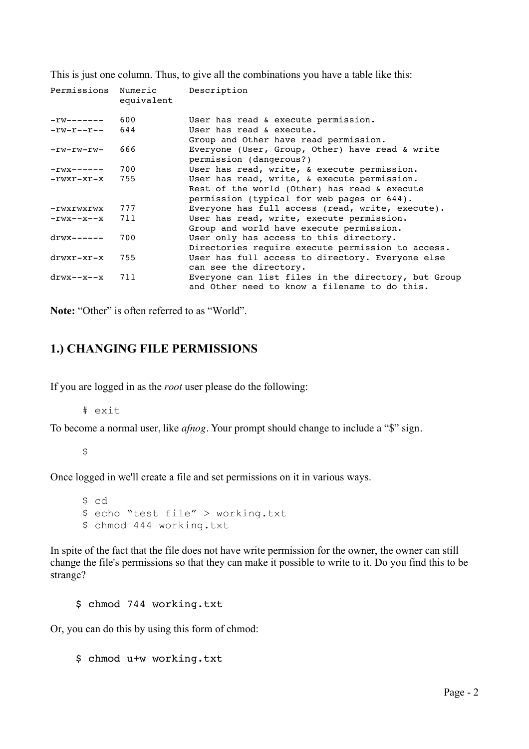This is just one column. Thus, to give all the combinations you have a table like this:

| Permissions Numeric                    | equivalent | Description                                                                                                                               |
|----------------------------------------|------------|-------------------------------------------------------------------------------------------------------------------------------------------|
| $-\texttt{TW}\texttt{---}\texttt{---}$ | 600        | User has read & execute permission.                                                                                                       |
| $-rw-r--r--$                           | 644        | User has read & execute.<br>Group and Other have read permission.                                                                         |
| -rw-rw-rw-                             | 666        | Everyone (User, Group, Other) have read & write<br>permission (dangerous?)                                                                |
| $-rwx---$                              | 700        | User has read, write, & execute permission.                                                                                               |
| $-rwxr-xr-x$ 755                       |            | User has read, write, & execute permission.<br>Rest of the world (Other) has read & execute<br>permission (typical for web pages or 644). |
| -rwxrwxrwx                             | 777        | Everyone has full access (read, write, execute).                                                                                          |
| $-rwx--x--x$ 711                       |            | User has read, write, execute permission.<br>Group and world have execute permission.                                                     |
| $drwx------$                           | 700        | User only has access to this directory.<br>Directories require execute permission to access.                                              |
| drwxr-xr-x                             | 755        | User has full access to directory. Everyone else<br>can see the directory.                                                                |
| drwx--x--x                             | 711        | Everyone can list files in the directory, but Group<br>and Other need to know a filename to do this.                                      |

Note: "Other" is often referred to as "World".

## **1.) CHANGING FILE PERMISSIONS**

If you are logged in as the *root* user please do the following:

# exit

To become a normal user, like *afnog*. Your prompt should change to include a "\$" sign.

 $\mathsf S$ 

Once logged in we'll create a file and set permissions on it in various ways.

\$ cd \$ echo "test file" > working.txt \$ chmod 444 working.txt

In spite of the fact that the file does not have write permission for the owner, the owner can still change the file's permissions so that they can make it possible to write to it. Do you find this to be strange?

\$ chmod 744 working.txt

Or, you can do this by using this form of chmod:

\$ chmod u+w working.txt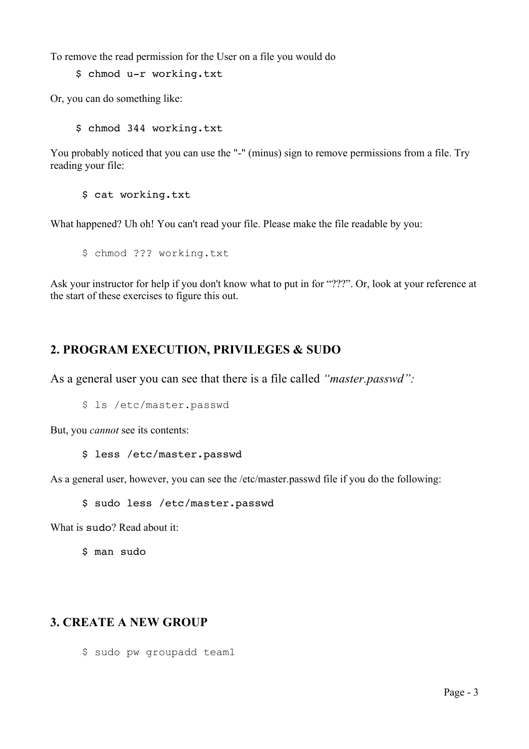To remove the read permission for the User on a file you would do

\$ chmod u-r working.txt

Or, you can do something like:

\$ chmod 344 working.txt

You probably noticed that you can use the "-" (minus) sign to remove permissions from a file. Try reading your file:

\$ cat working.txt

What happened? Uh oh! You can't read your file. Please make the file readable by you:

\$ chmod ??? working.txt

Ask your instructor for help if you don't know what to put in for "???". Or, look at your reference at the start of these exercises to figure this out.

## **2. PROGRAM EXECUTION, PRIVILEGES & SUDO**

As a general user you can see that there is a file called *"master.passwd":*

\$ ls /etc/master.passwd

But, you *cannot* see its contents:

\$ less /etc/master.passwd

As a general user, however, you can see the /etc/master.passwd file if you do the following:

\$ sudo less /etc/master.passwd

What is sudo? Read about it:

\$ man sudo

## **3. CREATE A NEW GROUP**

\$ sudo pw groupadd team1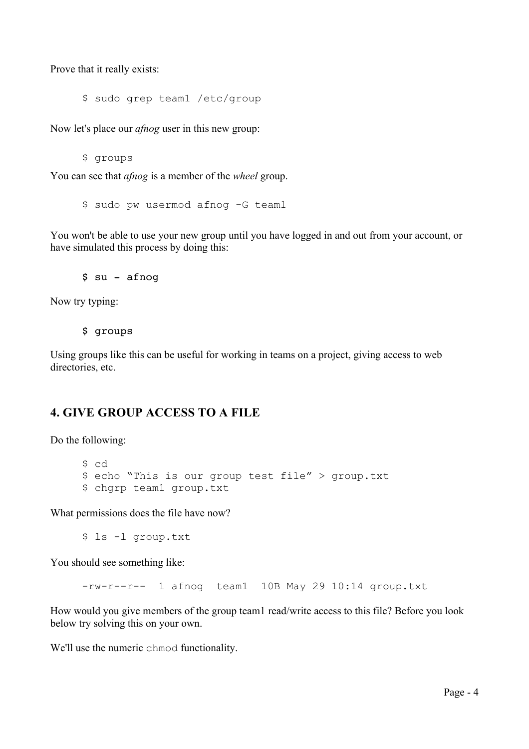Prove that it really exists:

\$ sudo grep team1 /etc/group

Now let's place our *afnog* user in this new group:

\$ groups

You can see that *afnog* is a member of the *wheel* group.

\$ sudo pw usermod afnog -G team1

You won't be able to use your new group until you have logged in and out from your account, or have simulated this process by doing this:

\$ su - afnog

Now try typing:

\$ groups

Using groups like this can be useful for working in teams on a project, giving access to web directories, etc.

#### **4. GIVE GROUP ACCESS TO A FILE**

Do the following:

\$ cd \$ echo "This is our group test file" > group.txt \$ chgrp team1 group.txt

What permissions does the file have now?

\$ ls -l group.txt

You should see something like:

-rw-r--r-- 1 afnog team1 10B May 29 10:14 group.txt

How would you give members of the group team1 read/write access to this file? Before you look below try solving this on your own.

We'll use the numeric chmod functionality.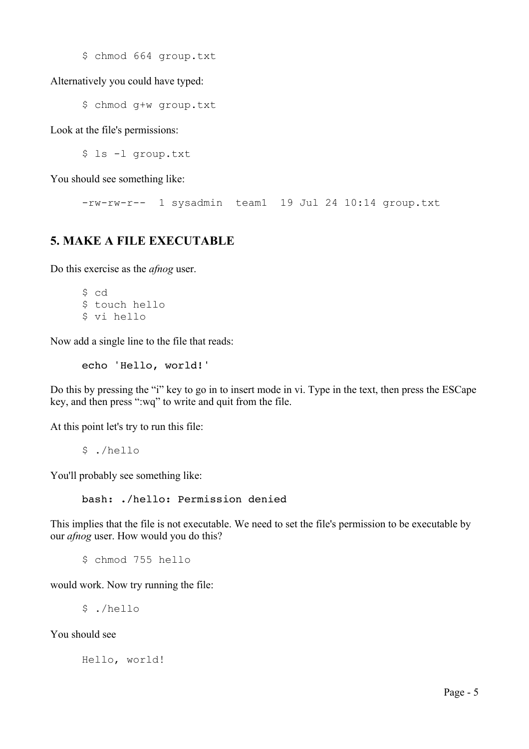\$ chmod 664 group.txt

Alternatively you could have typed:

\$ chmod g+w group.txt

Look at the file's permissions:

\$ ls -l group.txt

You should see something like:

-rw-rw-r-- 1 sysadmin team1 19 Jul 24 10:14 group.txt

### **5. MAKE A FILE EXECUTABLE**

Do this exercise as the *afnog* user.

\$ cd \$ touch hello \$ vi hello

Now add a single line to the file that reads:

echo 'Hello, world!'

Do this by pressing the "i" key to go in to insert mode in vi. Type in the text, then press the ESCape key, and then press ":wq" to write and quit from the file.

At this point let's try to run this file:

\$ ./hello

You'll probably see something like:

bash: ./hello: Permission denied

This implies that the file is not executable. We need to set the file's permission to be executable by our *afnog* user. How would you do this?

\$ chmod 755 hello

would work. Now try running the file:

\$ ./hello

You should see

Hello, world!